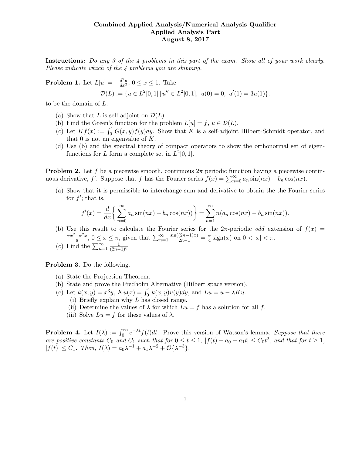## Combined Applied Analysis/Numerical Analysis Qualifier Applied Analysis Part August 8, 2017

Instructions: Do any 3 of the 4 problems in this part of the exam. Show all of your work clearly. Please indicate which of the 4 problems you are skipping.

**Problem 1.** Let  $L[u] = -\frac{d^2u}{dx^2}$ ,  $0 \le x \le 1$ . Take  $\mathcal{D}(L) := \{ u \in L^2[0,1] \mid u'' \in L^2[0,1], \ u(0) = 0, \ u'(1) = 3u(1) \}.$ 

to be the domain of L.

- (a) Show that L is self adjoint on  $\mathcal{D}(L)$ .
- (b) Find the Green's function for the problem  $L[u] = f, u \in \mathcal{D}(L)$ .
- (c) Let  $Kf(x) := \int_0^1 G(x, y)f(y)dy$ . Show that K is a self-adjoint Hilbert-Schmidt operator, and that 0 is not an eigenvalue of  $K$ .
- (d) Use (b) and the spectral theory of compact operators to show the orthonormal set of eigenfunctions for L form a complete set in  $L^2[0,1]$ .

**Problem 2.** Let f be a piecewise smooth, continuous  $2\pi$  periodic function having a piecewise continuous derivative,  $f'$ . Suppose that f has the Fourier series  $f(x) = \sum_{n=0}^{\infty} a_n \sin(nx) + b_n \cos(nx)$ .

(a) Show that it is permissible to interchange sum and derivative to obtain the the Fourier series for  $f'$ ; that is,

$$
f'(x) = \frac{d}{dx} \left\{ \sum_{n=0}^{\infty} a_n \sin(nx) + b_n \cos(nx) \right\} = \sum_{n=1}^{\infty} n(a_n \cos(nx) - b_n \sin(nx)).
$$

(b) Use this result to calculate the Fourier series for the  $2\pi$ -periodic *odd* extension of  $f(x)$  =  $\pi x^2 - \pi^2 x$  $\frac{1}{8} \pi^2 x$ ,  $0 \le x \le \pi$ , given that  $\sum_{n=1}^{\infty}$  $\frac{\sin((2n-1)x)}{2n-1} = \frac{\pi}{4}$  $\frac{\pi}{4}$  sign(x) on  $0 < |x| < \pi$ .

(c) Find the  $\sum_{n=1}^{\infty} \frac{1}{(2n-1)^6}$ 

Problem 3. Do the following.

- (a) State the Projection Theorem.
- (b) State and prove the Fredholm Alternative (Hilbert space version).
- (c) Let  $k(x, y) = x^3y$ ,  $Ku(x) = \int_0^1 k(x, y)u(y)dy$ , and  $Lu = u \lambda Ku$ .
	- (i) Briefly explain why L has closed range.
	- (ii) Determine the values of  $\lambda$  for which  $Lu = f$  has a solution for all f.
	- (iii) Solve  $Lu = f$  for these values of  $\lambda$ .

**Problem 4.** Let  $I(\lambda) := \int_0^\infty e^{-\lambda t} f(t) dt$ . Prove this version of Watson's lemma: Suppose that there are positive constants  $C_0$  and  $C_1$  such that for  $0 \le t \le 1$ ,  $|f(t) - a_0 - a_1t| \le C_0 t^2$ , and that for  $t \ge 1$ ,  $|f(t)| \leq C_1$ . Then,  $I(\lambda) = a_0 \lambda^{-1} + a_1 \lambda^{-2} + \mathcal{O}\{\lambda^{-3}\}.$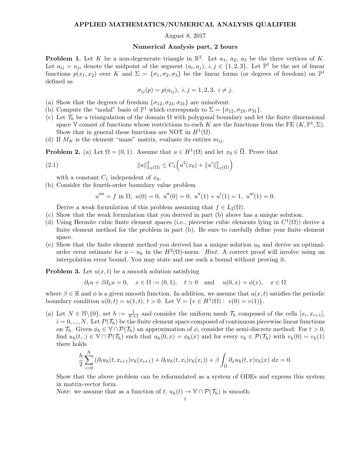## APPLIED MATHEMATICS/NUMERICAL ANALYSIS QUALIFIER

## August 8, 2017

## Numerical Analysis part, 2 hours

**Problem 1.** Let K be a non-degenerate triangle in  $\mathbb{R}^2$ . Let  $a_1$ ,  $a_2$ ,  $a_3$  be the three vertices of K. Let  $a_{ij} = a_{ji}$  denote the midpoint of the segment  $(a_i, a_j)$ ,  $i, j \in \{1, 2, 3\}$ . Let  $\mathbb{P}^1$  be the set of linear functions  $p(x_1, x_2)$  over K and  $\Sigma = {\sigma_1, \sigma_2, \sigma_3}$  be the linear forms (or degrees of freedom) on  $\mathbb{P}^1$ defined as

$$
\sigma_{ij}(p) = p(a_{ij}), \ i, j = 1, 2, 3, \ i \neq j.
$$

- (a) Show that the degrees of freedom  $\{\sigma_{12}, \sigma_{23}, \sigma_{31}\}\$  are unisolvent.
- (b) Compute the "nodal" basis of  $\mathbb{P}^1$  which corresponds to  $\Sigma = {\sigma_{12}, \sigma_{23}, \sigma_{31}}$ .
- (c) Let  $\mathcal{T}_h$  be a triangulation of the domain  $\Omega$  with polygonal boundary and let the finite dimensional space V consist of functions whose restrictions to each K are the functions from the FE  $(K, \mathbb{P}^1, \Sigma)$ . Show that in general these functions are NOT in  $H^1(\Omega)$ .
- (d) If  $M_K$  is the element "mass" matrix, evaluate its entries  $m_{ij}$ .

**Problem 2.** (a) Let  $\Omega = (0,1)$ . Assume that  $u \in H^1(\Omega)$  and let  $x_0 \in \overline{\Omega}$ . Prove that

(2.1) 
$$
||u||_{L_2(\Omega)}^2 \leq C_1 \left( u^2(x_0) + ||u'||_{L_2(\Omega)}^2 \right)
$$

with a constant  $C_1$  independent of  $x_0$ .

(b) Consider the fourth-order boundary value problem

$$
u'''' = f
$$
 in  $\Omega$ ,  $u(0) = 0$ ,  $u''(0) = 0$ ,  $u''(1) + u'(1) = 1$ ,  $u'''(1) = 0$ .

Derive a weak formulation of this problem assuming that  $f \in L_2(\Omega)$ .

- (c) Show that the weak formulation that you derived in part (b) above has a unique solution.
- (d) Using Hermite cubic finite element spaces (i.e., piecewise cubic elements lying in  $C^1(\Omega)$ ) derive a finite element method for the problem in part (b). Be sure to carefully define your finite element space.
- (e) Show that the finite element method you derived has a unique solution  $u<sub>h</sub>$  and derive an optimalorder error estimate for  $u - u_h$  in the  $H^2(\Omega)$ -norm. Hint: A correct proof will involve using an interpolation error bound. You may state and use such a bound without proving it.

**Problem 3.** Let  $u(x, t)$  be a smooth solution satisfying

$$
\partial_t u + \beta \partial_x u = 0
$$
,  $x \in \Omega := (0, 1)$ ,  $t > 0$  and  $u(0, x) = \phi(x)$ ,  $x \in \Omega$ 

where  $\beta \in \mathbb{R}$  and  $\phi$  is a given smooth function. In addition, we assume that  $u(x, t)$  satisfies the periodic boundary condition  $u(0, t) = u(1, t), t > 0$ . Let  $\mathbb{V} = \{v \in H^1(\Omega) : v(0) = v(1)\}.$ 

(a) Let  $N \in \mathbb{N} \setminus \{0\}$ , set  $h := \frac{1}{N+1}$  and consider the uniform mesh  $\mathcal{T}_h$  composed of the cells  $[x_i, x_{i+1}]$ ,  $i = 0, ..., N$ . Let  $P(\mathcal{T}_h)$  be the finite element space composed of continuous piecewise linear functions on  $\mathcal{T}_h$ . Given  $\phi_h \in \mathbb{V} \cap \mathcal{P}(\mathcal{T}_h)$  an approximation of  $\phi$ , consider the semi-discrete method: For  $t > 0$ , find  $u_h(t,.) \in \mathbb{V} \cap \mathcal{P}(\mathcal{T}_h)$  such that  $u_h(0,x) = \phi_h(x)$  and for every  $v_h \in \mathcal{P}(\mathcal{T}_h)$  with  $v_h(0) = v_h(1)$ there holds

$$
\frac{h}{2} \sum_{i=0}^{N} \left( \partial_t u_h(t, x_{i+1}) v_h(x_{i+1}) + \partial_t u_h(t, x_i) v_h(x_i) \right) + \beta \int_{\Omega} \partial_x u_h(t, x) v_h(x) dx = 0.
$$

Show that the above problem can be reformulated as a system of ODEs and express this system in matrix-vector form.

Note: we assume that as a function of  $t$ ,  $u_h(t) \to \mathbb{V} \cap \mathcal{P}(\mathcal{T}_h)$  is smooth.